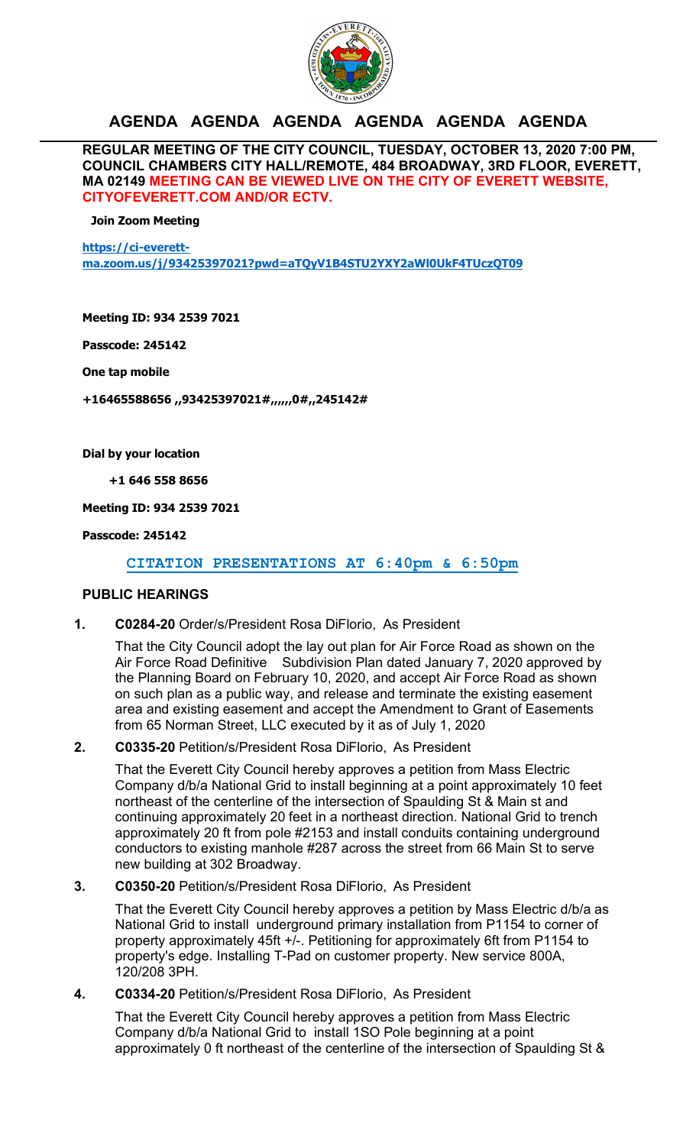

# **AGENDA AGENDA AGENDA AGENDA AGENDA AGENDA**

**REGULAR MEETING OF THE CITY COUNCIL, TUESDAY, OCTOBER 13, 2020 7:00 PM, COUNCIL CHAMBERS CITY HALL/REMOTE, 484 BROADWAY, 3RD FLOOR, EVERETT, MA 02149 MEETING CAN BE VIEWED LIVE ON THE CITY OF EVERETT WEBSITE, CITYOFEVERETT.COM AND/OR ECTV.** 

**Join Zoom Meeting**

**https://ci-everettma.zoom.us/j/93425397021?pwd=aTQyV1B4STU2YXY2aWl0UkF4TUczQT09**

**Meeting ID: 934 2539 7021**

**Passcode: 245142**

**One tap mobile**

**+16465588656 ,,93425397021#,,,,,,0#,,245142#**

**Dial by your location**

**+1 646 558 8656**

**Meeting ID: 934 2539 7021**

**Passcode: 245142**

 **CITATION PRESENTATIONS AT 6:40pm & 6:50pm**

#### **PUBLIC HEARINGS**

**1. C0284-20** Order/s/President Rosa DiFlorio, As President

That the City Council adopt the lay out plan for Air Force Road as shown on the Air Force Road Definitive Subdivision Plan dated January 7, 2020 approved by the Planning Board on February 10, 2020, and accept Air Force Road as shown on such plan as a public way, and release and terminate the existing easement area and existing easement and accept the Amendment to Grant of Easements from 65 Norman Street, LLC executed by it as of July 1, 2020

#### **2. C0335-20** Petition/s/President Rosa DiFlorio, As President

That the Everett City Council hereby approves a petition from Mass Electric Company d/b/a National Grid to install beginning at a point approximately 10 feet northeast of the centerline of the intersection of Spaulding St & Main st and continuing approximately 20 feet in a northeast direction. National Grid to trench approximately 20 ft from pole #2153 and install conduits containing underground conductors to existing manhole #287 across the street from 66 Main St to serve new building at 302 Broadway.

**3. C0350-20** Petition/s/President Rosa DiFlorio, As President

That the Everett City Council hereby approves a petition by Mass Electric d/b/a as National Grid to install underground primary installation from P1154 to corner of property approximately 45ft +/-. Petitioning for approximately 6ft from P1154 to property's edge. Installing T-Pad on customer property. New service 800A, 120/208 3PH.

**4. C0334-20** Petition/s/President Rosa DiFlorio, As President

That the Everett City Council hereby approves a petition from Mass Electric Company d/b/a National Grid to install 1SO Pole beginning at a point approximately 0 ft northeast of the centerline of the intersection of Spaulding St &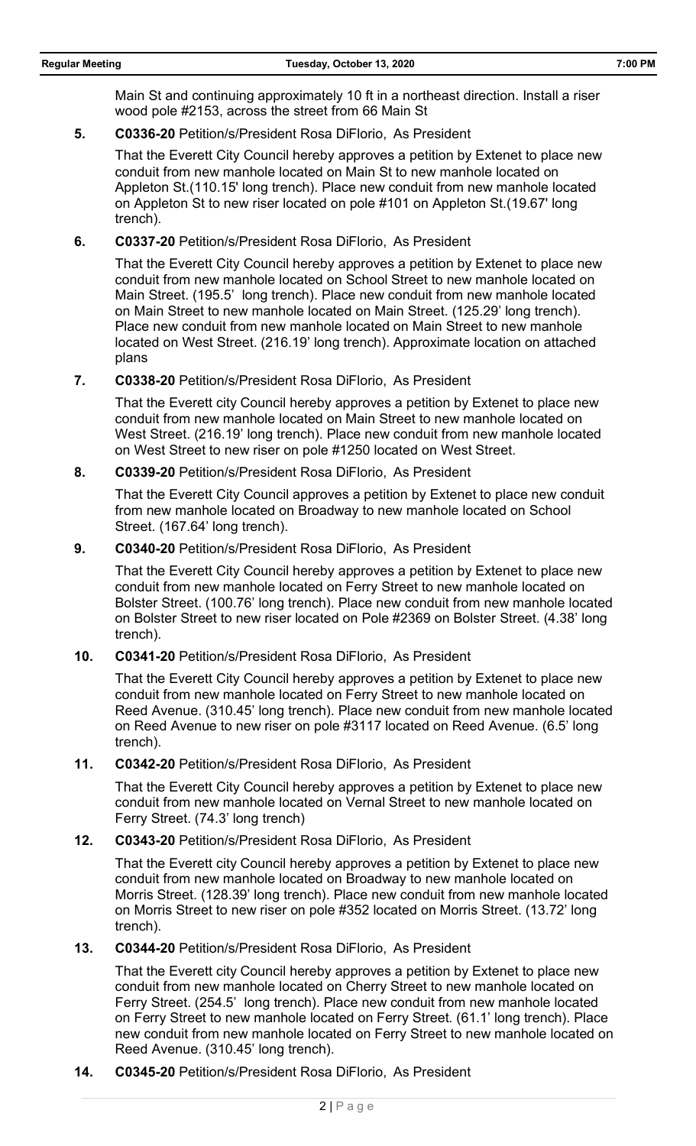Main St and continuing approximately 10 ft in a northeast direction. Install a riser wood pole #2153, across the street from 66 Main St

**5. C0336-20** Petition/s/President Rosa DiFlorio, As President

That the Everett City Council hereby approves a petition by Extenet to place new conduit from new manhole located on Main St to new manhole located on Appleton St.(110.15' long trench). Place new conduit from new manhole located on Appleton St to new riser located on pole #101 on Appleton St.(19.67' long trench).

**6. C0337-20** Petition/s/President Rosa DiFlorio, As President

That the Everett City Council hereby approves a petition by Extenet to place new conduit from new manhole located on School Street to new manhole located on Main Street. (195.5' long trench). Place new conduit from new manhole located on Main Street to new manhole located on Main Street. (125.29' long trench). Place new conduit from new manhole located on Main Street to new manhole located on West Street. (216.19' long trench). Approximate location on attached plans

**7. C0338-20** Petition/s/President Rosa DiFlorio, As President

That the Everett city Council hereby approves a petition by Extenet to place new conduit from new manhole located on Main Street to new manhole located on West Street. (216.19' long trench). Place new conduit from new manhole located on West Street to new riser on pole #1250 located on West Street.

**8. C0339-20** Petition/s/President Rosa DiFlorio, As President

That the Everett City Council approves a petition by Extenet to place new conduit from new manhole located on Broadway to new manhole located on School Street. (167.64' long trench).

**9. C0340-20** Petition/s/President Rosa DiFlorio, As President

That the Everett City Council hereby approves a petition by Extenet to place new conduit from new manhole located on Ferry Street to new manhole located on Bolster Street. (100.76' long trench). Place new conduit from new manhole located on Bolster Street to new riser located on Pole #2369 on Bolster Street. (4.38' long trench).

**10. C0341-20** Petition/s/President Rosa DiFlorio, As President

That the Everett City Council hereby approves a petition by Extenet to place new conduit from new manhole located on Ferry Street to new manhole located on Reed Avenue. (310.45' long trench). Place new conduit from new manhole located on Reed Avenue to new riser on pole #3117 located on Reed Avenue. (6.5' long trench).

**11. C0342-20** Petition/s/President Rosa DiFlorio, As President

That the Everett City Council hereby approves a petition by Extenet to place new conduit from new manhole located on Vernal Street to new manhole located on Ferry Street. (74.3' long trench)

**12. C0343-20** Petition/s/President Rosa DiFlorio, As President

That the Everett city Council hereby approves a petition by Extenet to place new conduit from new manhole located on Broadway to new manhole located on Morris Street. (128.39' long trench). Place new conduit from new manhole located on Morris Street to new riser on pole #352 located on Morris Street. (13.72' long trench).

**13. C0344-20** Petition/s/President Rosa DiFlorio, As President

That the Everett city Council hereby approves a petition by Extenet to place new conduit from new manhole located on Cherry Street to new manhole located on Ferry Street. (254.5' long trench). Place new conduit from new manhole located on Ferry Street to new manhole located on Ferry Street. (61.1' long trench). Place new conduit from new manhole located on Ferry Street to new manhole located on Reed Avenue. (310.45' long trench).

**14. C0345-20** Petition/s/President Rosa DiFlorio, As President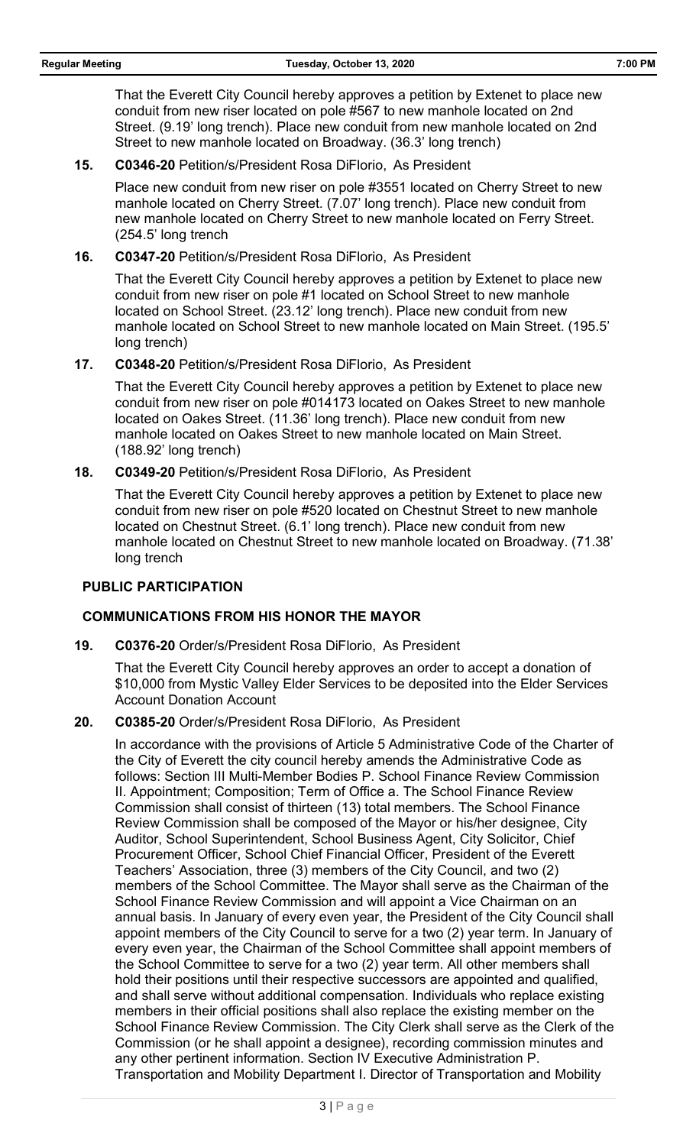That the Everett City Council hereby approves a petition by Extenet to place new conduit from new riser located on pole #567 to new manhole located on 2nd Street. (9.19' long trench). Place new conduit from new manhole located on 2nd Street to new manhole located on Broadway. (36.3' long trench)

**15. C0346-20** Petition/s/President Rosa DiFlorio, As President

Place new conduit from new riser on pole #3551 located on Cherry Street to new manhole located on Cherry Street. (7.07' long trench). Place new conduit from new manhole located on Cherry Street to new manhole located on Ferry Street. (254.5' long trench

**16. C0347-20** Petition/s/President Rosa DiFlorio, As President

That the Everett City Council hereby approves a petition by Extenet to place new conduit from new riser on pole #1 located on School Street to new manhole located on School Street. (23.12' long trench). Place new conduit from new manhole located on School Street to new manhole located on Main Street. (195.5' long trench)

**17. C0348-20** Petition/s/President Rosa DiFlorio, As President

That the Everett City Council hereby approves a petition by Extenet to place new conduit from new riser on pole #014173 located on Oakes Street to new manhole located on Oakes Street. (11.36' long trench). Place new conduit from new manhole located on Oakes Street to new manhole located on Main Street. (188.92' long trench)

**18. C0349-20** Petition/s/President Rosa DiFlorio, As President

That the Everett City Council hereby approves a petition by Extenet to place new conduit from new riser on pole #520 located on Chestnut Street to new manhole located on Chestnut Street. (6.1' long trench). Place new conduit from new manhole located on Chestnut Street to new manhole located on Broadway. (71.38' long trench

#### **PUBLIC PARTICIPATION**

# **COMMUNICATIONS FROM HIS HONOR THE MAYOR**

**19. C0376-20** Order/s/President Rosa DiFlorio, As President

That the Everett City Council hereby approves an order to accept a donation of \$10,000 from Mystic Valley Elder Services to be deposited into the Elder Services Account Donation Account

**20. C0385-20** Order/s/President Rosa DiFlorio, As President

In accordance with the provisions of Article 5 Administrative Code of the Charter of the City of Everett the city council hereby amends the Administrative Code as follows: Section III Multi-Member Bodies P. School Finance Review Commission II. Appointment; Composition; Term of Office a. The School Finance Review Commission shall consist of thirteen (13) total members. The School Finance Review Commission shall be composed of the Mayor or his/her designee, City Auditor, School Superintendent, School Business Agent, City Solicitor, Chief Procurement Officer, School Chief Financial Officer, President of the Everett Teachers' Association, three (3) members of the City Council, and two (2) members of the School Committee. The Mayor shall serve as the Chairman of the School Finance Review Commission and will appoint a Vice Chairman on an annual basis. In January of every even year, the President of the City Council shall appoint members of the City Council to serve for a two (2) year term. In January of every even year, the Chairman of the School Committee shall appoint members of the School Committee to serve for a two (2) year term. All other members shall hold their positions until their respective successors are appointed and qualified, and shall serve without additional compensation. Individuals who replace existing members in their official positions shall also replace the existing member on the School Finance Review Commission. The City Clerk shall serve as the Clerk of the Commission (or he shall appoint a designee), recording commission minutes and any other pertinent information. Section IV Executive Administration P. Transportation and Mobility Department I. Director of Transportation and Mobility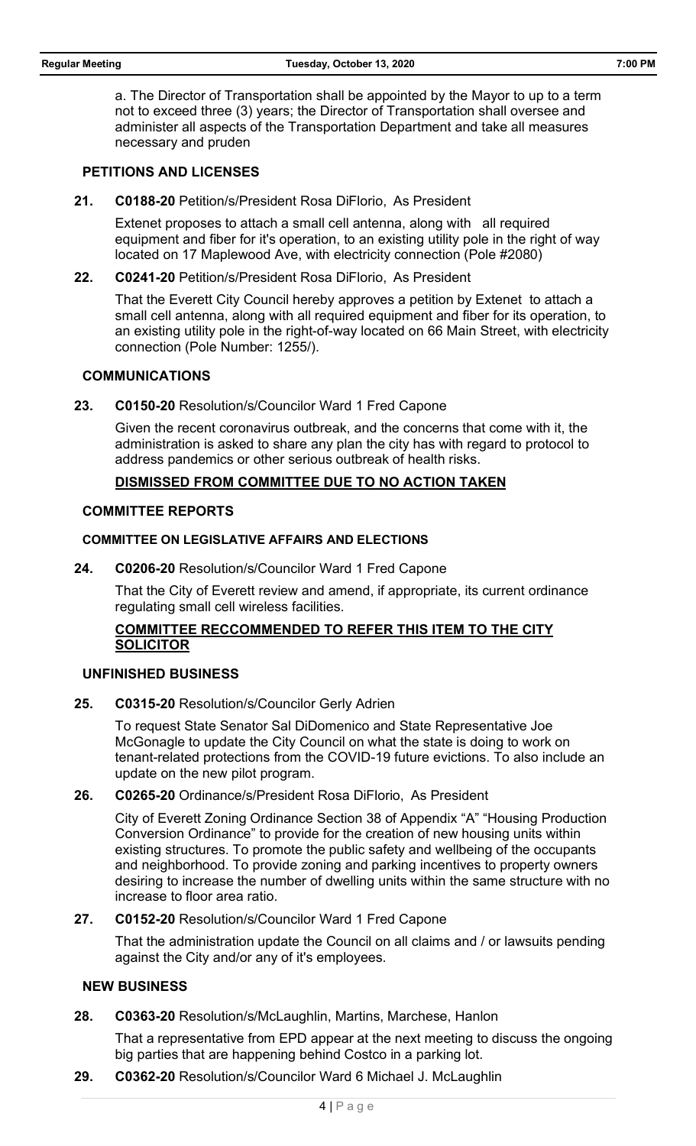a. The Director of Transportation shall be appointed by the Mayor to up to a term not to exceed three (3) years; the Director of Transportation shall oversee and administer all aspects of the Transportation Department and take all measures necessary and pruden

#### **PETITIONS AND LICENSES**

**21. C0188-20** Petition/s/President Rosa DiFlorio, As President

Extenet proposes to attach a small cell antenna, along with all required equipment and fiber for it's operation, to an existing utility pole in the right of way located on 17 Maplewood Ave, with electricity connection (Pole #2080)

**22. C0241-20** Petition/s/President Rosa DiFlorio, As President

That the Everett City Council hereby approves a petition by Extenet to attach a small cell antenna, along with all required equipment and fiber for its operation, to an existing utility pole in the right-of-way located on 66 Main Street, with electricity connection (Pole Number: 1255/).

#### **COMMUNICATIONS**

**23. C0150-20** Resolution/s/Councilor Ward 1 Fred Capone

Given the recent coronavirus outbreak, and the concerns that come with it, the administration is asked to share any plan the city has with regard to protocol to address pandemics or other serious outbreak of health risks.

### **DISMISSED FROM COMMITTEE DUE TO NO ACTION TAKEN**

### **COMMITTEE REPORTS**

### **COMMITTEE ON LEGISLATIVE AFFAIRS AND ELECTIONS**

**24. C0206-20** Resolution/s/Councilor Ward 1 Fred Capone

That the City of Everett review and amend, if appropriate, its current ordinance regulating small cell wireless facilities.

# **COMMITTEE RECCOMMENDED TO REFER THIS ITEM TO THE CITY SOLICITOR**

#### **UNFINISHED BUSINESS**

**25. C0315-20** Resolution/s/Councilor Gerly Adrien

To request State Senator Sal DiDomenico and State Representative Joe McGonagle to update the City Council on what the state is doing to work on tenant-related protections from the COVID-19 future evictions. To also include an update on the new pilot program.

**26. C0265-20** Ordinance/s/President Rosa DiFlorio, As President

City of Everett Zoning Ordinance Section 38 of Appendix "A" "Housing Production Conversion Ordinance" to provide for the creation of new housing units within existing structures. To promote the public safety and wellbeing of the occupants and neighborhood. To provide zoning and parking incentives to property owners desiring to increase the number of dwelling units within the same structure with no increase to floor area ratio.

**27. C0152-20** Resolution/s/Councilor Ward 1 Fred Capone

That the administration update the Council on all claims and / or lawsuits pending against the City and/or any of it's employees.

# **NEW BUSINESS**

**28. C0363-20** Resolution/s/McLaughlin, Martins, Marchese, Hanlon

That a representative from EPD appear at the next meeting to discuss the ongoing big parties that are happening behind Costco in a parking lot.

**29. C0362-20** Resolution/s/Councilor Ward 6 Michael J. McLaughlin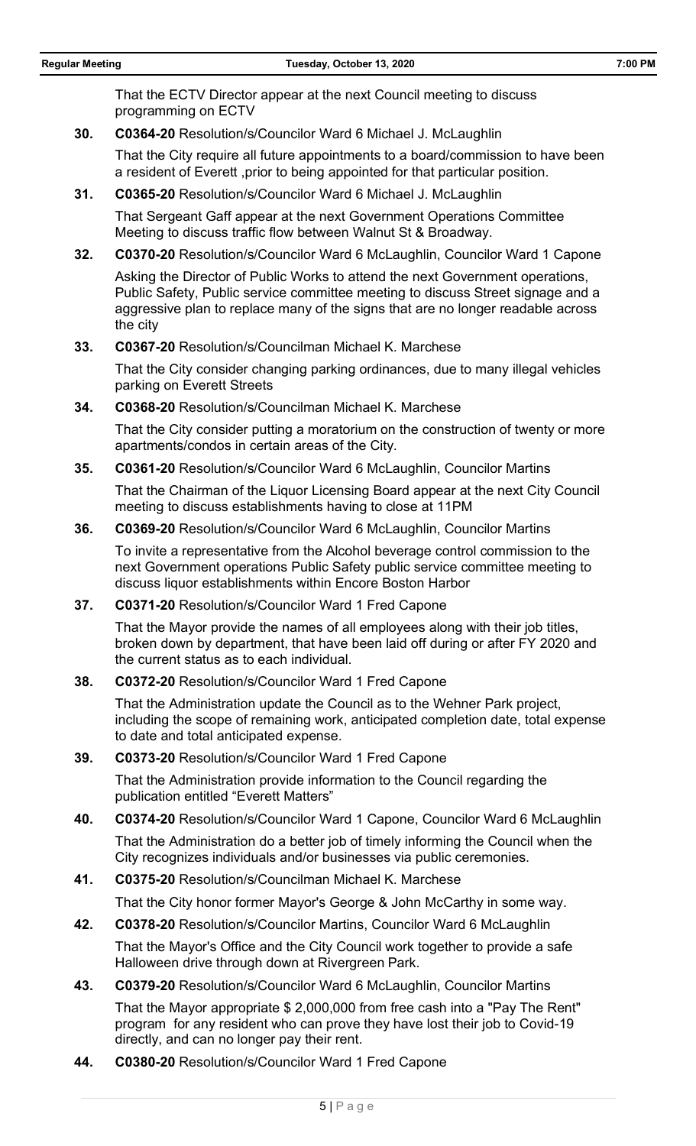That the ECTV Director appear at the next Council meeting to discuss programming on ECTV

**30. C0364-20** Resolution/s/Councilor Ward 6 Michael J. McLaughlin

That the City require all future appointments to a board/commission to have been a resident of Everett ,prior to being appointed for that particular position.

**31. C0365-20** Resolution/s/Councilor Ward 6 Michael J. McLaughlin

That Sergeant Gaff appear at the next Government Operations Committee Meeting to discuss traffic flow between Walnut St & Broadway.

**32. C0370-20** Resolution/s/Councilor Ward 6 McLaughlin, Councilor Ward 1 Capone

Asking the Director of Public Works to attend the next Government operations, Public Safety, Public service committee meeting to discuss Street signage and a aggressive plan to replace many of the signs that are no longer readable across the city

**33. C0367-20** Resolution/s/Councilman Michael K. Marchese

That the City consider changing parking ordinances, due to many illegal vehicles parking on Everett Streets

**34. C0368-20** Resolution/s/Councilman Michael K. Marchese

That the City consider putting a moratorium on the construction of twenty or more apartments/condos in certain areas of the City.

**35. C0361-20** Resolution/s/Councilor Ward 6 McLaughlin, Councilor Martins

That the Chairman of the Liquor Licensing Board appear at the next City Council meeting to discuss establishments having to close at 11PM

**36. C0369-20** Resolution/s/Councilor Ward 6 McLaughlin, Councilor Martins

To invite a representative from the Alcohol beverage control commission to the next Government operations Public Safety public service committee meeting to discuss liquor establishments within Encore Boston Harbor

**37. C0371-20** Resolution/s/Councilor Ward 1 Fred Capone

That the Mayor provide the names of all employees along with their job titles, broken down by department, that have been laid off during or after FY 2020 and the current status as to each individual.

**38. C0372-20** Resolution/s/Councilor Ward 1 Fred Capone

That the Administration update the Council as to the Wehner Park project, including the scope of remaining work, anticipated completion date, total expense to date and total anticipated expense.

**39. C0373-20** Resolution/s/Councilor Ward 1 Fred Capone

That the Administration provide information to the Council regarding the publication entitled "Everett Matters"

**40. C0374-20** Resolution/s/Councilor Ward 1 Capone, Councilor Ward 6 McLaughlin

That the Administration do a better job of timely informing the Council when the City recognizes individuals and/or businesses via public ceremonies.

**41. C0375-20** Resolution/s/Councilman Michael K. Marchese

That the City honor former Mayor's George & John McCarthy in some way.

**42. C0378-20** Resolution/s/Councilor Martins, Councilor Ward 6 McLaughlin That the Mayor's Office and the City Council work together to provide a safe

Halloween drive through down at Rivergreen Park.

**43. C0379-20** Resolution/s/Councilor Ward 6 McLaughlin, Councilor Martins

That the Mayor appropriate \$ 2,000,000 from free cash into a "Pay The Rent" program for any resident who can prove they have lost their job to Covid-19 directly, and can no longer pay their rent.

**44. C0380-20** Resolution/s/Councilor Ward 1 Fred Capone